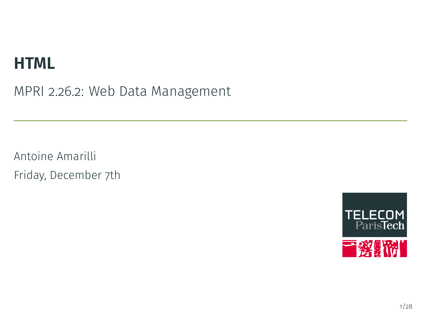# **HTML**

MPRI 2.26.2: Web Data Management

Antoine Amarilli Friday, December 7th

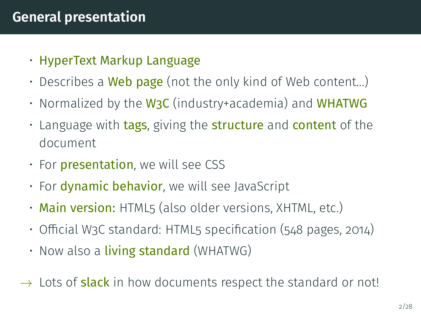## <span id="page-1-0"></span>**General presentation**

- HyperText Markup Language
- Describes a **Web page** (not the only kind of Web content...)
- Normalized by the  $W_3C$  (industry+academia) and WHATWG
- Language with tags, giving the structure and content of the document
- For **presentation**, we will see CSS
- For **dynamic behavior**, we will see JavaScript
- Main version: HTML5 (also older versions, XHTML, etc.)
- $\cdot$  Official W3C standard: HTML5 specification (548 pages, 2014)
- $\cdot$  Now also a living standard (WHATWG)
- $\rightarrow$  Lots of **slack** in how documents respect the standard or not!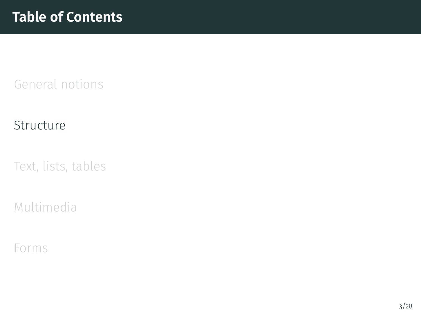#### <span id="page-2-0"></span>[Structure](#page-2-0)

[Text, lists, tables](#page-8-0)

[Multimedia](#page-15-0)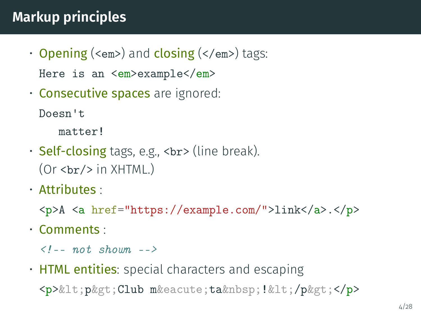# **Markup principles**

- Opening (<em>) and closing (</em>) tags: Here is an  $\langle em \rangle$ example $\langle em \rangle$
- Consecutive spaces are ignored:

Doesn't

matter!

- Self-closing tags, e.g.,  $\langle b \rangle$  (line break).  $(Or   
   
 -  
   
 in XHTML.)$
- Attributes :

<p>A <a href="https://example.com/">link</a>.</p>

• Comments :

 $\langle l -- not shown. -- \rangle$ 

• HTML entities: special characters and escaping

<p>&lt; p&gt; Club m&eacute; ta&nbsp; !&lt; /p&gt; </p>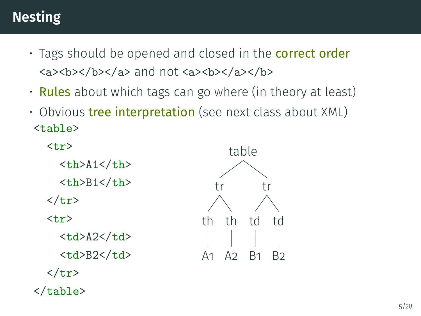# **Nesting**

- Tags should be opened and closed in the **correct order** <a><b></b></a> and not <a><b></a></b>
- Rules about which tags can go where (in theory at least)
- $\cdot$  Obvious tree interpretation (see next class about XML) <table>



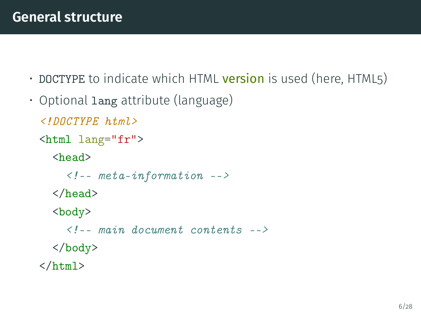- DOCTYPE to indicate which HTML version is used (here, HTML5)
- Optional lang attribute (language)

```
<!DOCTYPE html>
<html lang="fr">
  <head>
     \langle!-- meta-information -->
  </head>
  <body>
     \langle l_{--} main document contents \rightarrow</body>
\langle/html\rangle
```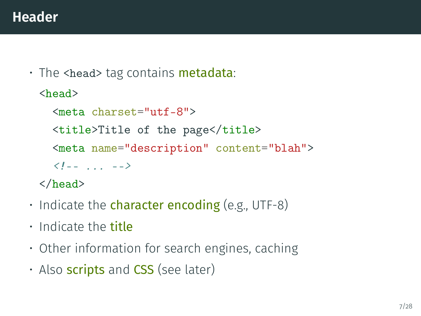$\cdot$  The <head> tag contains **metadata**:

```
<head>
  <meta charset="utf-8">
  <title>Title of the page</title>
  <meta name="description" content="blah">
  \langle l-- ... -->
</head>
```
- $\cdot$  Indicate the character encoding (e.g., UTF-8)
- Indicate the title
- Other information for search engines, caching
- Also **scripts** and  $CSS$  (see later)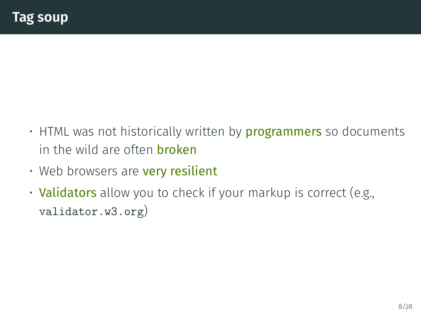- $\cdot$  HTML was not historically written by **programmers** so documents in the wild are often **broken**
- $\cdot$  Web browsers are very resilient
- Validators allow you to check if your markup is correct (e.g., <validator.w3.org>)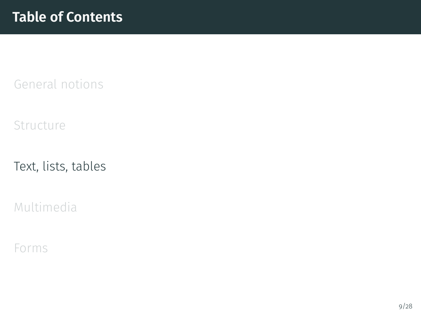<span id="page-8-0"></span>[Structure](#page-2-0)

[Text, lists, tables](#page-8-0)

[Multimedia](#page-15-0)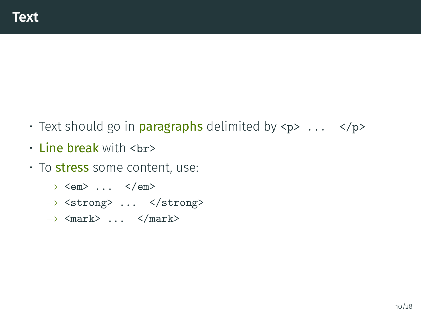- Text should go in **paragraphs** delimited by  $\langle p \rangle$  ...  $\langle p \rangle$
- $\cdot$  Line break with  $\langle$ br>
- To stress some content, use:
	- $\rightarrow$  <em> ... </em>
	- $\rightarrow$  <strong> ... </strong>
	- $\rightarrow$   $\langle$ mark> ...  $\langle$ /mark>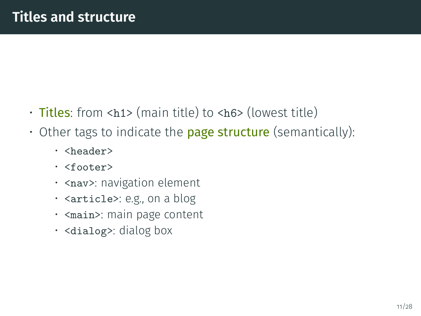- $\cdot$  Titles: from <h1> (main title) to <h6> (lowest title)
- $\cdot$  Other tags to indicate the **page structure** (semantically):
	- <header>
	- <footer>
	- < nav>: navigation element
	- <article>: e.g., on a blog
	- <main>: main page content
	- <dialog>: dialog box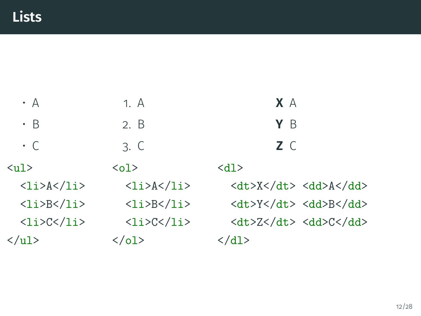| $\cdot$ A                                   | 1. A                          | X A                                                                                     |
|---------------------------------------------|-------------------------------|-----------------------------------------------------------------------------------------|
| $\cdot$ B                                   | 2. B                          | Y B                                                                                     |
| $\cdot$ C                                   | 3. C                          | Z C                                                                                     |
| $\langle$ 11 $\rangle$                      | $\langle$ ol $>$              | <d1></d1>                                                                               |
| $\langle$ li>A $\langle$ li>                | $\langle$ li>A $\langle$ li>  | $\langle dt \rangle$ X $\langle dt \rangle$ $\langle dd \rangle$ A $\langle dd \rangle$ |
| $\langle$ li>B $\langle$ li>                | $\langle$ li>B $\langle$ li>  | <dt>Y</dt> <dd>B</dd>                                                                   |
| $\langle li \rangle$ C $\langle li \rangle$ | $\langle$ li>C $\langle$ /li> | <dt>Z</dt> <dd>C</dd>                                                                   |
| $\langle \text{ul}\rangle$                  | $\langle$ /ol>                | $\langle d1 \rangle$                                                                    |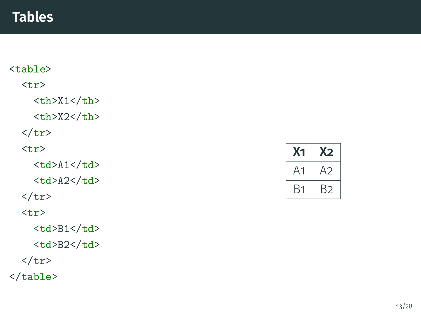### **Tables**

```
<table> <tr><th>X1</th>
        \langle \texttt{th}\rangleX2\langle \texttt{th}\rangle\langle/tr\rangle\langle \text{tr} \rangle<td>A1</td
>
        <td>A2</td
>
    \langle/tr\rangle<tr
>
        <td>B1</td
>
        <td>B2</td
>
    \langle/tr\rangle</table
>
```

| X <sub>1</sub> | X2 |
|----------------|----|
| Δ1             | A2 |
| Β1             | B2 |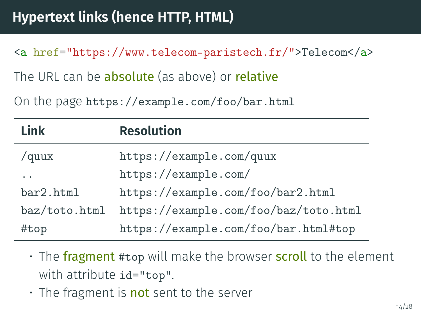<a href="https://www.telecom-paristech.fr/">Telecom</a>

The URL can be **absolute** (as above) or **relative** 

On the page <https://example.com/foo/bar.html>

| Link                 | <b>Resolution</b>                     |
|----------------------|---------------------------------------|
| /quux                | https://example.com/quux              |
| $\ddot{\phantom{0}}$ | https://example.com/                  |
| bar2.html            | https://example.com/foo/bar2.html     |
| baz/toto.html        | https://example.com/foo/baz/toto.html |
| #top                 | https://example.com/foo/bar.html#top  |

• The fragment #top will make the browser scroll to the element with attribute id="top".

• The fragment is not sent to the server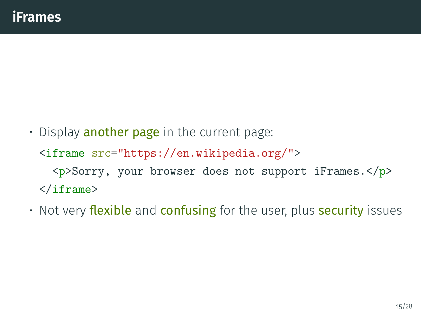- $\cdot$  Display another page in the current page: <iframe src="https://en.wikipedia.org/"> <p>Sorry, your browser does not support iFrames.</p> </iframe>
- $\cdot$  Not very flexible and confusing for the user, plus security issues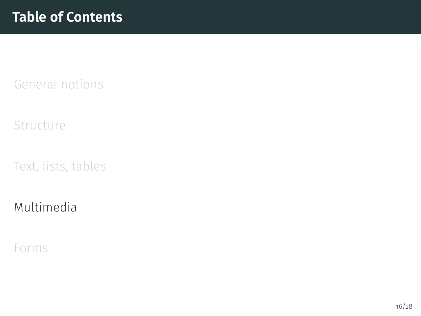<span id="page-15-0"></span>[Structure](#page-2-0)

[Text, lists, tables](#page-8-0)

### [Multimedia](#page-15-0)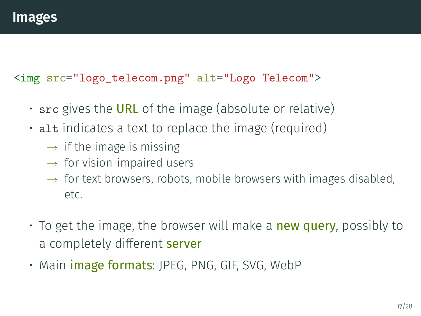#### <img src="logo\_telecom.png" alt="Logo Telecom">

- $\cdot$  src gives the URL of the image (absolute or relative)
- alt indicates a text to replace the image (required)
	- $\rightarrow$  if the image is missing
	- $\rightarrow$  for vision-impaired users
	- $\rightarrow$  for text browsers, robots, mobile browsers with images disabled, etc.
- $\cdot$  To get the image, the browser will make a new query, possibly to a completely different server
- Main **image formats**: JPEG, PNG, GIF, SVG, WebP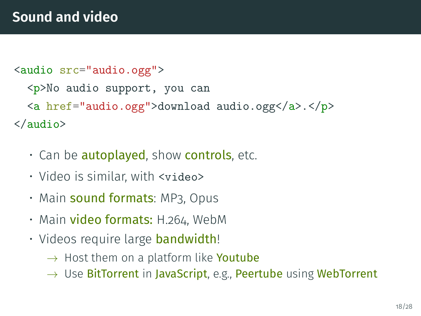```
<audio src="audio.ogg">
  <p>No audio support, you can
  <a href="audio.ogg">download audio.ogg</a>.</p>
</audio>
```
- Can be **autoplayed**, show **controls**, etc.
- Video is similar, with <video>
- $\,\cdot\,$  Main  $\,$  sound formats: MP3, Opus
- Main video formats: H.264, WebM
- Videos require large **bandwidth**!
	- $\rightarrow$  Host them on a platform like **Youtube**
	- $\rightarrow$  Use BitTorrent in JavaScript, e.g., Peertube using WebTorrent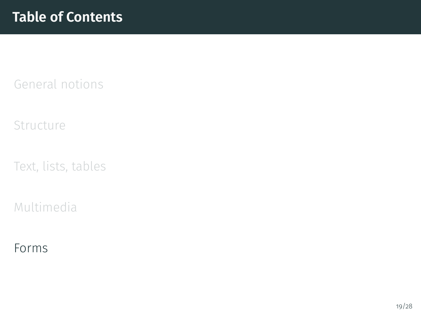<span id="page-18-0"></span>[Structure](#page-2-0)

[Text, lists, tables](#page-8-0)

[Multimedia](#page-15-0)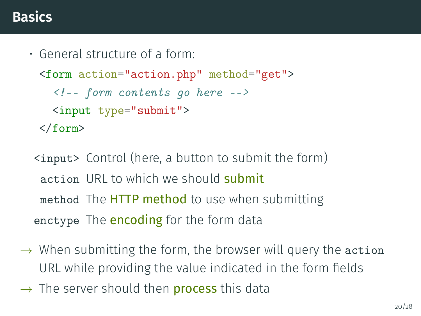## **Basics**

• General structure of a form:

```
<form action="action.php" method="get">
  \langle!-- form contents go here -->
  <input type="submit">
</form>
```
- <input> Control (here, a button to submit the form) action URL to which we should submit method The **HTTP method** to use when submitting enctype The **encoding** for the form data
- $\rightarrow$  When submitting the form, the browser will query the action URL while providing the value indicated in the form fields
- $\rightarrow$  The server should then **process** this data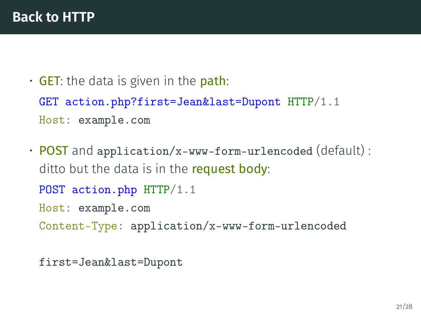```
\cdot GET: the data is given in the path:
 GET action.php?first=Jean&last=Dupont HTTP/1.1
 Host: example.com
```
• POST and application/x-www-form-urlencoded (default) : ditto but the data is in the **request body**: POST action.php HTTP/1.1 Host: example.com

Content-Type: application/x-www-form-urlencoded

first=Jean&last=Dupont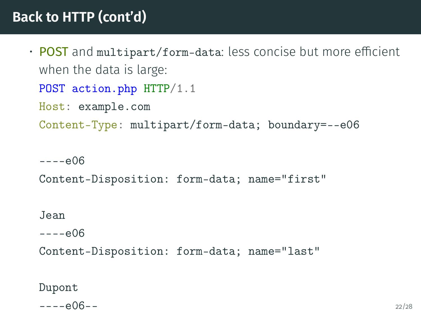## **Back to HTTP (cont'd)**

```
• POST and multipart/form-data: less concise but more efficient
 when the data is large:
 POST action.php HTTP/1.1
 Host: example.com
 Content-Type: multipart/form-data; boundary=--e06
```
 $---e06$ 

```
Content-Disposition: form-data; name="first"
```
Jean

 $---e06$ 

Content-Disposition: form-data; name="last"

Dupont

 $---e06--$  22/28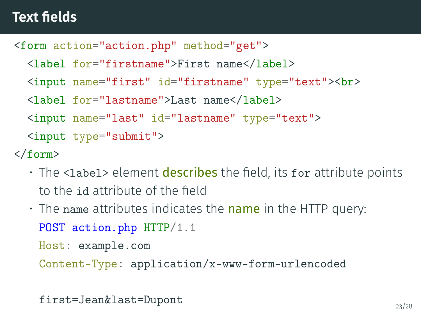## **Text fields**

```
<form action="action.php" method="get">
```

```
<label for="firstname">First name</label>
```
<input name="first" id="firstname" type="text"><br>

```
<label for="lastname">Last name</label>
```

```
<input name="last" id="lastname" type="text">
```

```
<input type="submit">
```
</form>

- $\cdot$  The <label> element describes the field, its for attribute points to the id attribute of the field
- $\cdot$  The name attributes indicates the name in the HTTP query: POST action.php HTTP/1.1

Host: example.com

Content-Type: application/x-www-form-urlencoded

```
first=Jean&last=Dupont 23/28
```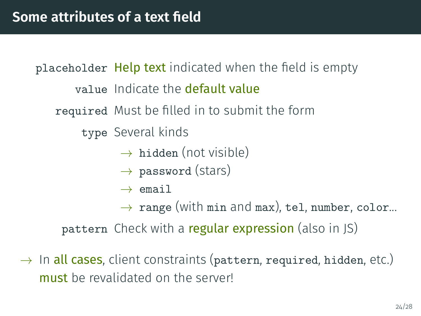placeholder Help text indicated when the field is empty value Indicate the default value required Must be filled in to submit the form type Several kinds  $\rightarrow$  hidden (not visible)  $\rightarrow$  password (stars)  $\rightarrow$  email  $\rightarrow$  range (with min and max), tel, number, color...

pattern Check with a regular expression (also in JS)

 $\rightarrow$  In all cases, client constraints (pattern, required, hidden, etc.) must be revalidated on the server!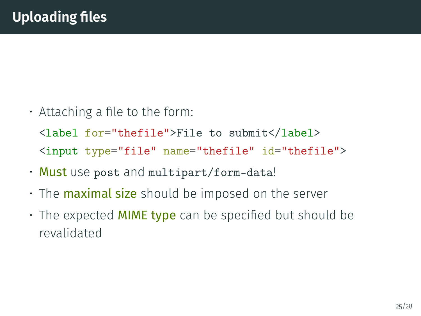$\cdot$  Attaching a file to the form:

<label for="thefile">File to submit</label> <input type="file" name="thefile" id="thefile">

- Must use post and multipart/form-data!
- The **maximal size** should be imposed on the server
- $\cdot$  The expected MIME type can be specified but should be revalidated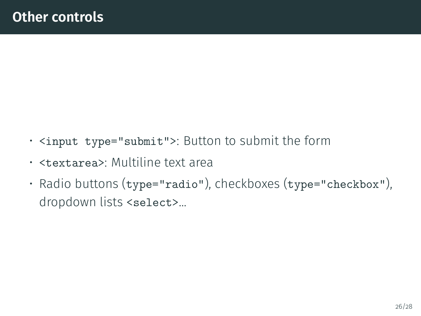- <input type="submit">: Button to submit the form
- <textarea>: Multiline text area
- Radio buttons (type="radio"), checkboxes (type="checkbox"), dropdown lists <select>...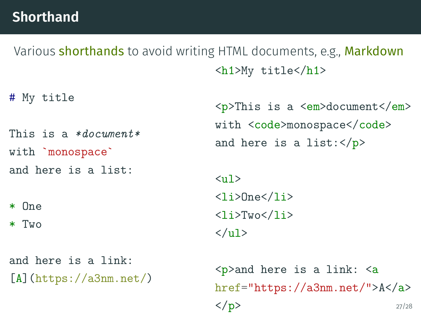## **Shorthand**

Various shorthands to avoid writing HTML documents, e.g., Markdown <h1>My title</h1>

# My title

This is a \*document\*

with `monospace`

and here is a list:

\* One

\* Two

and here is a link:  $[A]$ (https://a3nm.net/)  $p>$ This is a  $\epsilon$ m $>$ document $\epsilon$ /em $>$  $with `code>mode` monospace*(code>code>*$ and here is a list: $\langle p \rangle$ 

 $\langle$ ul>  $\langle$ li>One $\langle$ li>  $\langle$ li>Two $\langle$ li>  $\langle$ /ul>

 $\langle p \rangle$  and here is a link:  $\langle a \rangle$ href="https://a3nm.net/">A</a>  $> 27/28$